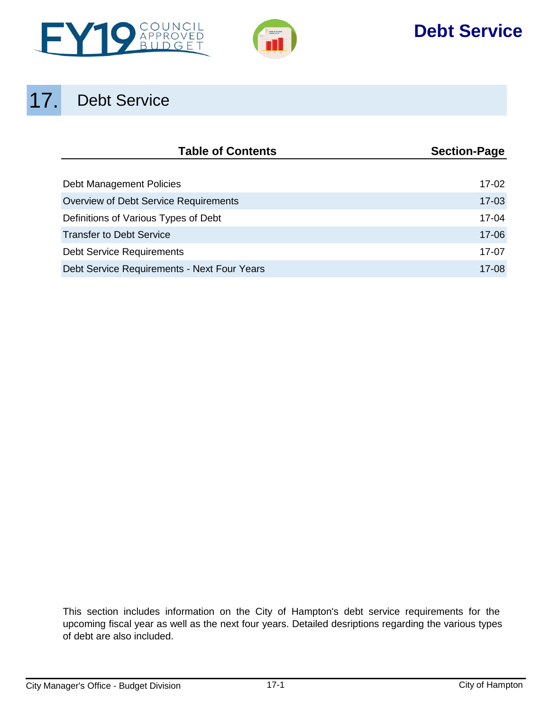



## **Debt Service**

# 17. Debt Service

| <b>Table of Contents</b>                    | <b>Section-Page</b> |
|---------------------------------------------|---------------------|
|                                             |                     |
| Debt Management Policies                    | $17-02$             |
| Overview of Debt Service Requirements       | $17-03$             |
| Definitions of Various Types of Debt        | 17-04               |
| <b>Transfer to Debt Service</b>             | 17-06               |
| <b>Debt Service Requirements</b>            | 17-07               |
| Debt Service Requirements - Next Four Years | $17 - 08$           |

This section includes information on the City of Hampton's debt service requirements for the upcoming fiscal year as well as the next four years. Detailed desriptions regarding the various types of debt are also included.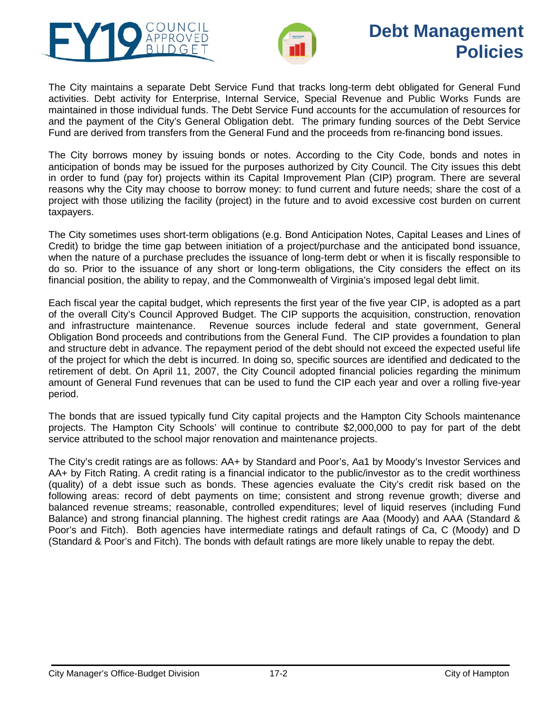<span id="page-1-0"></span>



## **Debt Management Policies**

The City maintains a separate Debt Service Fund that tracks long-term debt obligated for General Fund activities. Debt activity for Enterprise, Internal Service, Special Revenue and Public Works Funds are maintained in those individual funds. The Debt Service Fund accounts for the accumulation of resources for and the payment of the City's General Obligation debt. The primary funding sources of the Debt Service Fund are derived from transfers from the General Fund and the proceeds from re-financing bond issues.

The City borrows money by issuing bonds or notes. According to the City Code, bonds and notes in anticipation of bonds may be issued for the purposes authorized by City Council. The City issues this debt in order to fund (pay for) projects within its Capital Improvement Plan (CIP) program. There are several reasons why the City may choose to borrow money: to fund current and future needs; share the cost of a project with those utilizing the facility (project) in the future and to avoid excessive cost burden on current taxpayers.

The City sometimes uses short-term obligations (e.g. Bond Anticipation Notes, Capital Leases and Lines of Credit) to bridge the time gap between initiation of a project/purchase and the anticipated bond issuance, when the nature of a purchase precludes the issuance of long-term debt or when it is fiscally responsible to do so. Prior to the issuance of any short or long-term obligations, the City considers the effect on its financial position, the ability to repay, and the Commonwealth of Virginia's imposed legal debt limit.

Each fiscal year the capital budget, which represents the first year of the five year CIP, is adopted as a part of the overall City's Council Approved Budget. The CIP supports the acquisition, construction, renovation and infrastructure maintenance. Revenue sources include federal and state government, General Obligation Bond proceeds and contributions from the General Fund. The CIP provides a foundation to plan and structure debt in advance. The repayment period of the debt should not exceed the expected useful life of the project for which the debt is incurred. In doing so, specific sources are identified and dedicated to the retirement of debt. On April 11, 2007, the City Council adopted financial policies regarding the minimum amount of General Fund revenues that can be used to fund the CIP each year and over a rolling five-year period.

The bonds that are issued typically fund City capital projects and the Hampton City Schools maintenance projects. The Hampton City Schools' will continue to contribute \$2,000,000 to pay for part of the debt service attributed to the school major renovation and maintenance projects.

The City's credit ratings are as follows: AA+ by Standard and Poor's, Aa1 by Moody's Investor Services and AA+ by Fitch Rating. A credit rating is a financial indicator to the public/investor as to the credit worthiness (quality) of a debt issue such as bonds. These agencies evaluate the City's credit risk based on the following areas: record of debt payments on time; consistent and strong revenue growth; diverse and balanced revenue streams; reasonable, controlled expenditures; level of liquid reserves (including Fund Balance) and strong financial planning. The highest credit ratings are Aaa (Moody) and AAA (Standard & Poor's and Fitch). Both agencies have intermediate ratings and default ratings of Ca, C (Moody) and D (Standard & Poor's and Fitch). The bonds with default ratings are more likely unable to repay the debt.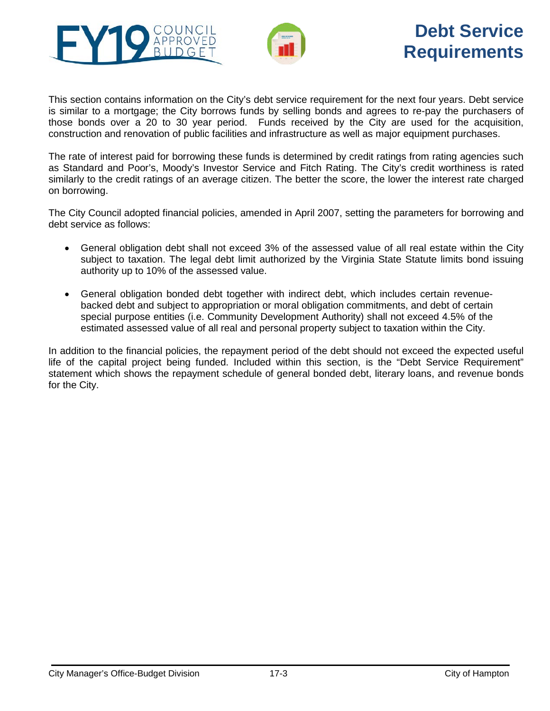<span id="page-2-0"></span>



## **Debt Service Requirements**

This section contains information on the City's debt service requirement for the next four years. Debt service is similar to a mortgage; the City borrows funds by selling bonds and agrees to re-pay the purchasers of those bonds over a 20 to 30 year period. Funds received by the City are used for the acquisition, construction and renovation of public facilities and infrastructure as well as major equipment purchases.

The rate of interest paid for borrowing these funds is determined by credit ratings from rating agencies such as Standard and Poor's, Moody's Investor Service and Fitch Rating. The City's credit worthiness is rated similarly to the credit ratings of an average citizen. The better the score, the lower the interest rate charged on borrowing.

The City Council adopted financial policies, amended in April 2007, setting the parameters for borrowing and debt service as follows:

- General obligation debt shall not exceed 3% of the assessed value of all real estate within the City subject to taxation. The legal debt limit authorized by the Virginia State Statute limits bond issuing authority up to 10% of the assessed value.
- General obligation bonded debt together with indirect debt, which includes certain revenuebacked debt and subject to appropriation or moral obligation commitments, and debt of certain special purpose entities (i.e. Community Development Authority) shall not exceed 4.5% of the estimated assessed value of all real and personal property subject to taxation within the City.

In addition to the financial policies, the repayment period of the debt should not exceed the expected useful life of the capital project being funded. Included within this section, is the "Debt Service Requirement" statement which shows the repayment schedule of general bonded debt, literary loans, and revenue bonds for the City.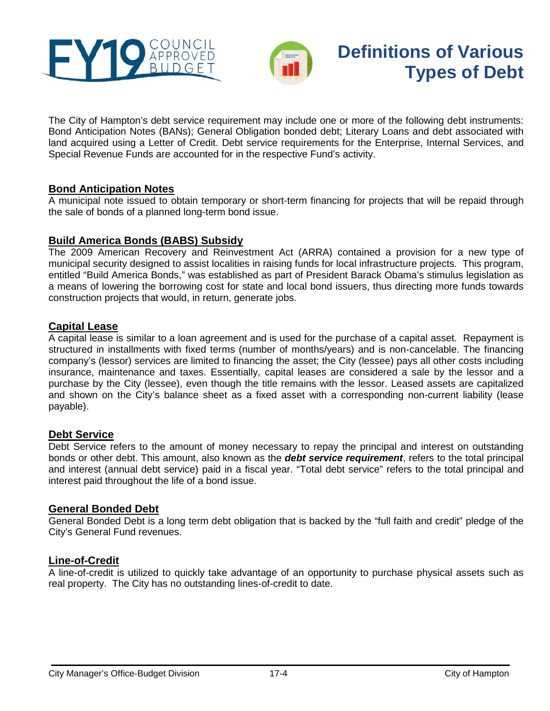<span id="page-3-0"></span>



The City of Hampton's debt service requirement may include one or more of the following debt instruments: Bond Anticipation Notes (BANs); General Obligation bonded debt; Literary Loans and debt associated with land acquired using a Letter of Credit. Debt service requirements for the Enterprise, Internal Services, and Special Revenue Funds are accounted for in the respective Fund's activity.

## **Bond Anticipation Notes**

A municipal note issued to obtain temporary or short-term financing for projects that will be repaid through the sale of bonds of a planned long-term bond issue.

## **Build America Bonds (BABS) Subsidy**

The 2009 American Recovery and Reinvestment Act (ARRA) contained a provision for a new type of municipal security designed to assist localities in raising funds for local infrastructure projects. This program, entitled "Build America Bonds," was established as part of President Barack Obama's stimulus legislation as a means of lowering the borrowing cost for state and local bond issuers, thus directing more funds towards construction projects that would, in return, generate jobs.

### **Capital Lease**

A capital lease is similar to a [loan agreement](http://www.businessdictionary.com/definition/loan-agreement.html) and is used for the [purchase](http://www.businessdictionary.com/definition/purchase.html) of a [capital asset.](http://www.businessdictionary.com/definition/capital-asset.html) Repayment is structured in installments with fixed terms (number of months/years) and is non-cancelable. The financing company's [\(lessor\)](http://www.businessdictionary.com/definition/lessor.html) services are limited to [financing](http://www.businessdictionary.com/definition/financing.html) the asset; the City (lessee) pays all other costs including insurance, maintenance and taxes. Essentially, capital leases are considered a sale by the lessor and a purchase by the City (lessee), even though the title remains with the lessor. Leased assets are capitalized and shown on the City's [balance sheet](http://www.businessdictionary.com/definition/balance-sheet.html) as a fixed asset with a corresponding [non-current liability](http://www.businessdictionary.com/definition/non-current-liability.html) (lease [payable\)](http://www.businessdictionary.com/definition/payable.html).

#### **Debt Service**

Debt Service refers to the amount of money necessary to repay the principal and interest on outstanding bonds or other debt. This amount, also known as the *debt service requirement*, refers to the total principal and interest (annual debt service) paid in a fiscal year. "Total debt service" refers to the total principal and interest paid throughout the life of a bond issue.

### **General Bonded Debt**

General Bonded Debt is a long term debt obligation that is backed by the "full faith and credit" pledge of the City's General Fund revenues.

### **Line-of-Credit**

A line-of-credit is utilized to quickly take advantage of an opportunity to purchase physical assets such as real property. The City has no outstanding lines-of-credit to date.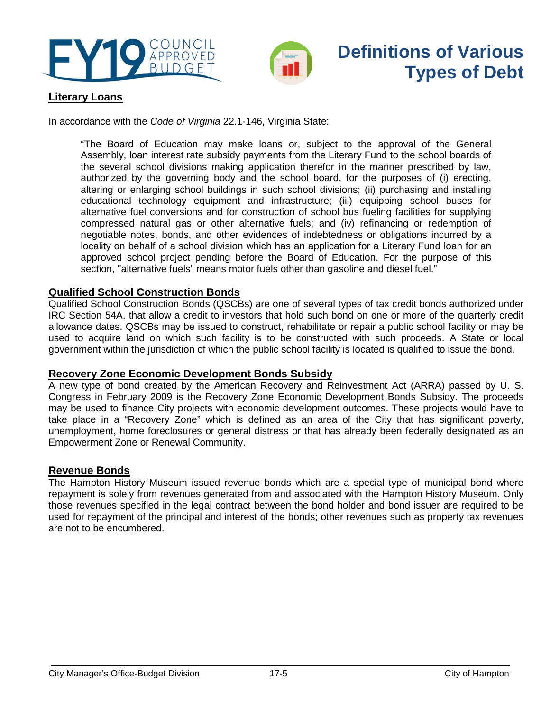



## **Definitions of Various Types of Debt**

## **Literary Loans**

In accordance with the *Code of Virginia* 22.1-146, Virginia State:

"The Board of Education may make loans or, subject to the approval of the General Assembly, loan interest rate subsidy payments from the Literary Fund to the school boards of the several school divisions making application therefor in the manner prescribed by law, authorized by the governing body and the school board, for the purposes of (i) erecting, altering or enlarging school buildings in such school divisions; (ii) purchasing and installing educational technology equipment and infrastructure; (iii) equipping school buses for alternative fuel conversions and for construction of school bus fueling facilities for supplying compressed natural gas or other alternative fuels; and (iv) refinancing or redemption of negotiable notes, bonds, and other evidences of indebtedness or obligations incurred by a locality on behalf of a school division which has an application for a Literary Fund loan for an approved school project pending before the Board of Education. For the purpose of this section, "alternative fuels" means motor fuels other than gasoline and diesel fuel."

## **Qualified School Construction Bonds**

Qualified School Construction Bonds (QSCBs) are one of several types of tax credit bonds authorized under IRC Section 54A, that allow a credit to investors that hold such bond on one or more of the quarterly credit allowance dates. QSCBs may be issued to construct, rehabilitate or repair a public school facility or may be used to acquire land on which such facility is to be constructed with such proceeds. A State or local government within the jurisdiction of which the public school facility is located is qualified to issue the bond.

## **Recovery Zone Economic Development Bonds Subsidy**

A new type of bond created by the American Recovery and Reinvestment Act (ARRA) passed by U. S. Congress in February 2009 is the Recovery Zone Economic Development Bonds Subsidy. The proceeds may be used to finance City projects with economic development outcomes. These projects would have to take place in a "Recovery Zone" which is defined as an area of the City that has significant poverty, unemployment, home foreclosures or general distress or that has already been federally designated as an Empowerment Zone or Renewal Community.

### **Revenue Bonds**

The Hampton History Museum issued revenue bonds which are a special type of municipal bond where repayment is solely from revenues generated from and associated with the Hampton History Museum. Only those revenues specified in the legal contract between the bond holder and bond issuer are required to be used for repayment of the principal and interest of the bonds; other revenues such as property tax revenues are not to be encumbered.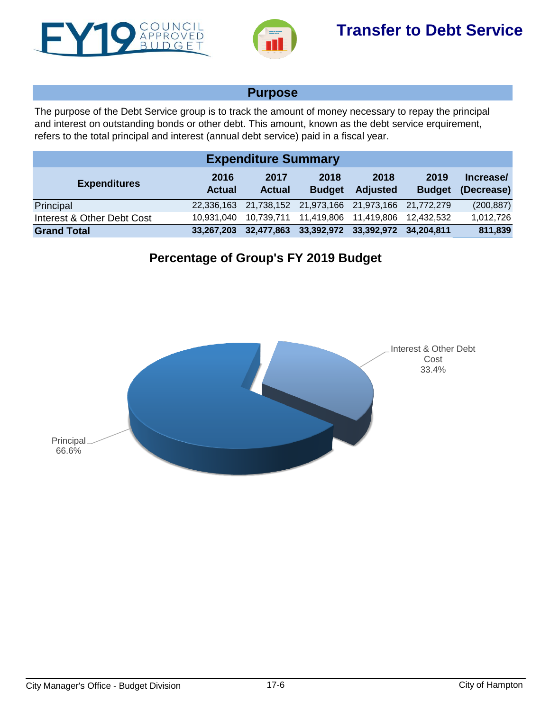<span id="page-5-0"></span>



## **Purpose**

The purpose of the Debt Service group is to track the amount of money necessary to repay the principal and interest on outstanding bonds or other debt. This amount, known as the debt service erquirement, refers to the total principal and interest (annual debt service) paid in a fiscal year.

| <b>Expenditure Summary</b> |                       |                       |                                             |                         |                       |                         |  |  |  |
|----------------------------|-----------------------|-----------------------|---------------------------------------------|-------------------------|-----------------------|-------------------------|--|--|--|
| <b>Expenditures</b>        | 2016<br><b>Actual</b> | 2017<br><b>Actual</b> | 2018<br><b>Budget</b>                       | 2018<br><b>Adjusted</b> | 2019<br><b>Budget</b> | Increase/<br>(Decrease) |  |  |  |
| Principal                  | 22,336,163            |                       | 21,738,152 21,973,166 21,973,166 21,772,279 |                         |                       | (200, 887)              |  |  |  |
| Interest & Other Debt Cost | 10.931.040            |                       |                                             | 11,419,806              | 12.432.532            | 1,012,726               |  |  |  |
| <b>Grand Total</b>         | 33.267.203            | 32,477,863            | 33,392,972 33,392,972                       |                         | 34.204.811            | 811,839                 |  |  |  |

## **Percentage of Group's FY 2019 Budget**

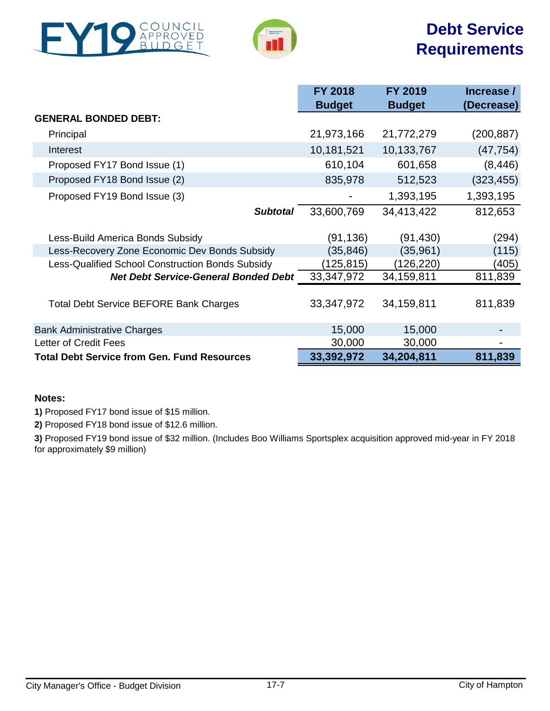<span id="page-6-0"></span>



## **Debt Service Requirements**

|                                                    | <b>FY 2018</b> | <b>FY 2019</b> | Increase / |
|----------------------------------------------------|----------------|----------------|------------|
|                                                    | <b>Budget</b>  | <b>Budget</b>  | (Decrease) |
| <b>GENERAL BONDED DEBT:</b>                        |                |                |            |
| Principal                                          | 21,973,166     | 21,772,279     | (200, 887) |
| Interest                                           | 10,181,521     | 10,133,767     | (47, 754)  |
| Proposed FY17 Bond Issue (1)                       | 610,104        | 601,658        | (8, 446)   |
| Proposed FY18 Bond Issue (2)                       | 835,978        | 512,523        | (323, 455) |
| Proposed FY19 Bond Issue (3)                       |                | 1,393,195      | 1,393,195  |
| <b>Subtotal</b>                                    | 33,600,769     | 34,413,422     | 812,653    |
| Less-Build America Bonds Subsidy                   | (91,136)       | (91, 430)      | (294)      |
| Less-Recovery Zone Economic Dev Bonds Subsidy      | (35, 846)      | (35, 961)      | (115)      |
| Less-Qualified School Construction Bonds Subsidy   | (125, 815)     | (126,220)      | (405)      |
| <b>Net Debt Service-General Bonded Debt</b>        | 33,347,972     | 34,159,811     | 811,839    |
| <b>Total Debt Service BEFORE Bank Charges</b>      | 33,347,972     | 34,159,811     | 811,839    |
| <b>Bank Administrative Charges</b>                 | 15,000         | 15,000         |            |
| Letter of Credit Fees                              | 30,000         | 30,000         |            |
| <b>Total Debt Service from Gen. Fund Resources</b> | 33,392,972     | 34,204,811     | 811,839    |

### **Notes:**

**1)** Proposed FY17 bond issue of \$15 million.

**2)** Proposed FY18 bond issue of \$12.6 million.

**3)** Proposed FY19 bond issue of \$32 million. (Includes Boo Williams Sportsplex acquisition approved mid-year in FY 2018 for approximately \$9 million)